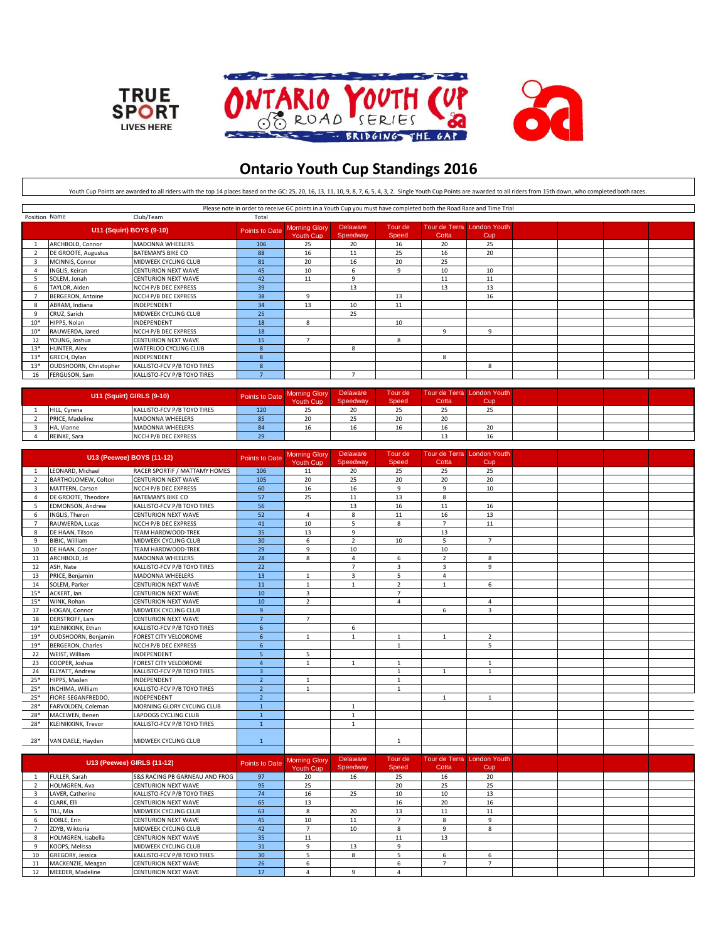





## **Ontario Youth Cup Standings 2016**

Youth Cup Points are awarded to all riders with the top 14 places based on the GC: 25, 20, 16, 13, 11, 10, 9, 8, 7, 6, 5, 4, 3, 2. Single Youth Cup Points are awarded to all riders from 15th down, who completed both races.

|               | Please note in order to receive GC points in a Youth Cup you must have completed both the Road Race and Time Trial |                             |                       |                                   |                      |                  |       |                                   |  |  |  |  |  |
|---------------|--------------------------------------------------------------------------------------------------------------------|-----------------------------|-----------------------|-----------------------------------|----------------------|------------------|-------|-----------------------------------|--|--|--|--|--|
| Position Name |                                                                                                                    | Club/Team                   | Total                 |                                   |                      |                  |       |                                   |  |  |  |  |  |
|               | U11 (Squirt) BOYS (9-10)                                                                                           |                             | <b>Points to Date</b> | <b>Morning Glory</b><br>Youth Cup | Delaware<br>Speedway | Tour de<br>Speed | Cotta | Tour de Terra London Youth<br>Cup |  |  |  |  |  |
|               | ARCHBOLD, Connor                                                                                                   | MADONNA WHEELERS            | 106                   | 25                                | 20                   | 16               | 20    | 25                                |  |  |  |  |  |
|               | DE GROOTE, Augustus                                                                                                | <b>BATEMAN'S BIKE CO</b>    | 88                    | 16                                | 11                   | 25               | 16    | 20                                |  |  |  |  |  |
|               | MCINNIS, Connor                                                                                                    | MIDWEEK CYCLING CLUB        | 81                    | 20                                | 16                   | 20               | 25    |                                   |  |  |  |  |  |
|               | INGLIS, Keiran                                                                                                     | CENTURION NEXT WAVE         | 45                    | 10                                | 6                    |                  | 10    | 10                                |  |  |  |  |  |
|               | SOLEM, Jonah                                                                                                       | CENTURION NEXT WAVE         | 42                    | 11                                | $\mathbf{q}$         |                  | 11    | 11                                |  |  |  |  |  |
|               | TAYLOR, Aiden                                                                                                      | NCCH P/B DEC EXPRESS        | 39                    |                                   | 13                   |                  | 13    | 13                                |  |  |  |  |  |
|               | <b>BERGERON, Antoine</b>                                                                                           | NCCH P/B DEC EXPRESS        | 38                    | q                                 |                      | 13               |       | 16                                |  |  |  |  |  |
|               | ABRAM, Indiana                                                                                                     | <b>INDEPENDENT</b>          | 34                    | 13                                | 10                   | 11               |       |                                   |  |  |  |  |  |
|               | CRUZ, Sarich                                                                                                       | MIDWEEK CYCLING CLUB        | 25                    |                                   | 25                   |                  |       |                                   |  |  |  |  |  |
| $10*$         | HIPPS, Nolan                                                                                                       | INDEPENDENT                 | 18                    | 8                                 |                      | 10               |       |                                   |  |  |  |  |  |
| $10*$         | RAUWERDA, Jared                                                                                                    | NCCH P/B DEC EXPRESS        | 18                    |                                   |                      |                  | 9     | 9                                 |  |  |  |  |  |
| 12            | YOUNG, Joshua                                                                                                      | CENTURION NEXT WAVE         | 15                    |                                   |                      | 8                |       |                                   |  |  |  |  |  |
| $13*$         | HUNTER, Alex                                                                                                       | WATERLOO CYCLING CLUB       | $\mathbf{g}$          |                                   | 8                    |                  |       |                                   |  |  |  |  |  |
| $13*$         | GRECH, Dylan                                                                                                       | <b>INDEPENDENT</b>          | $\mathbf{8}$          |                                   |                      |                  | 8     |                                   |  |  |  |  |  |
| $13*$         | OUDSHOORN, Christopher                                                                                             | KALLISTO-FCV P/B TOYO TIRES | $\mathbf{8}$          |                                   |                      |                  |       | 8                                 |  |  |  |  |  |
| 16            | FERGUSON, Sam                                                                                                      | KALLISTO-FCV P/B TOYO TIRES |                       |                                   |                      |                  |       |                                   |  |  |  |  |  |

| U11 (Squirt) GIRLS (9-10) |                             | Points to Date | <b>Morning Glory</b><br>Youth Cup | <b>Delaware</b><br>Speedway | Tour de<br>Speed | Cotta | Tour de Terra London Youth<br>Cup |  |  |
|---------------------------|-----------------------------|----------------|-----------------------------------|-----------------------------|------------------|-------|-----------------------------------|--|--|
| HILL, Cyrena              | KALLISTO-FCV P/B TOYO TIRES | 120            |                                   |                             |                  |       |                                   |  |  |
| PRICE, Madeline           | MADONNA WHEELERS            | 85             | 20                                |                             |                  | 20    |                                   |  |  |
| HA. Vianne                | MADONNA WHEELERS            | 84             |                                   |                             |                  |       | 20                                |  |  |
| REINKE, Sara              | NCCH P/B DEC EXPRESS        | -49            |                                   |                             |                  |       | 16                                |  |  |

|                          |                          | U13 (Peewee) BOYS (11-12)     | Points to Date  | <b>Morning Glory</b> | <b>Delaware</b> | Tour de        |                | Tour de Terra London Youth |  |  |
|--------------------------|--------------------------|-------------------------------|-----------------|----------------------|-----------------|----------------|----------------|----------------------------|--|--|
|                          |                          |                               |                 | Youth Cup            | Speedway        | Speed          | Cotta          | Cup                        |  |  |
|                          | LEONARD, Michael         | RACER SPORTIF / MATTAMY HOMES | 106             | 11                   | 20              | 25             | 25             | 25                         |  |  |
| $\overline{\phantom{a}}$ | BARTHOLOMEW, Colton      | <b>CENTURION NEXT WAVE</b>    | 105             | 20                   | 25              | 20             | 20             | 20                         |  |  |
| $\overline{3}$           | MATTERN, Carson          | NCCH P/B DEC EXPRESS          | 60              | 16                   | 16              | 9              | 9              | 10                         |  |  |
|                          | DE GROOTE, Theodore      | <b>BATEMAN'S BIKE CO</b>      | 57              | 25                   | 11              | 13             | 8              |                            |  |  |
| 5                        | EDMONSON, Andrew         | KALLISTO-FCV P/B TOYO TIRES   | 56              |                      | 13              | 16             | 11             | 16                         |  |  |
| 6                        | INGLIS, Theron           | <b>CENTURION NEXT WAVE</b>    | 52              | $\overline{a}$       | 8               | 11             | 16             | 13                         |  |  |
|                          | RAUWERDA, Lucas          | NCCH P/B DEC EXPRESS          | 41              | 10                   | 5               | 8              | $\overline{7}$ | 11                         |  |  |
| $\mathcal{R}$            | DE HAAN, Tilson          | <b>TEAM HARDWOOD-TREK</b>     | 35              | 13                   | $\mathbf{q}$    |                | 13             |                            |  |  |
| $\mathbf{q}$             | BIBIC, William           | MIDWEEK CYCLING CLUB          | 30 <sup>°</sup> | 6                    | $\overline{2}$  | 10             | 5              | $\overline{7}$             |  |  |
| 10                       | DE HAAN, Cooper          | <b>TEAM HARDWOOD-TREK</b>     | 29              | $\mathbf{q}$         | 10              |                | 10             |                            |  |  |
| 11                       | ARCHBOLD, Jd             | MADONNA WHEELERS              | 28              | 8                    | 4               | 6              | $\overline{2}$ | 8                          |  |  |
| 12                       | ASH, Nate                | KALLISTO-FCV P/B TOYO TIRES   | 22              |                      | $\overline{7}$  | 3              | 3              | 9                          |  |  |
| 13                       | PRICE, Benjamin          | MADONNA WHEELERS              | 13              |                      | 3               | 5              | 4              |                            |  |  |
| 14                       | SOLEM. Parker            | <b>CENTURION NEXT WAVE</b>    | 11              | 1                    | $\mathbf{1}$    | $\overline{2}$ | $\mathbf{1}$   | 6                          |  |  |
| $15*$                    | ACKERT, Ian              | <b>CENTURION NEXT WAVE</b>    | 10              | 3                    |                 | $\overline{7}$ |                |                            |  |  |
| $15*$                    | WINK, Rohan              | <b>CENTURION NEXT WAVE</b>    | 10              | $\overline{2}$       |                 | 4              |                | 4                          |  |  |
| 17                       | HOGAN, Connor            | MIDWEEK CYCLING CLUB          | $\mathbf{q}$    |                      |                 |                | 6              | 3                          |  |  |
| 18                       | DERSTROFF, Lars          | <b>CENTURION NEXT WAVE</b>    | $\overline{7}$  | $\overline{7}$       |                 |                |                |                            |  |  |
| $19*$                    | KLEINIKKINK, Ethan       | KALLISTO-FCV P/B TOYO TIRES   | 6               |                      | 6               |                |                |                            |  |  |
| $19*$                    | OUDSHOORN, Benjamin      | FOREST CITY VELODROME         | 6               | $\mathbf{1}$         | $\mathbf{1}$    | $\mathbf{1}$   | 1              | $\overline{2}$             |  |  |
| $19*$                    | <b>BERGERON, Charles</b> | NCCH P/B DEC EXPRESS          | 6               |                      |                 | $\mathbf{1}$   |                | 5                          |  |  |
| 22                       | WEIST, William           | INDEPENDENT                   | 5               | 5                    |                 |                |                |                            |  |  |
| 23                       | COOPER, Joshua           | FOREST CITY VELODROME         | $\overline{4}$  | $\mathbf{1}$         | $\mathbf{1}$    | $\mathbf{1}$   |                | $\mathbf{1}$               |  |  |
| 24                       | <b>ELLYATT, Andrew</b>   | KALLISTO-FCV P/B TOYO TIRES   | $\overline{3}$  |                      |                 | 1              | $\mathbf{1}$   | $\mathbf{1}$               |  |  |
| $25*$                    | HIPPS, Maslen            | INDEPENDENT                   | $\overline{2}$  | 1                    |                 | $\mathbf{1}$   |                |                            |  |  |
| $25*$                    | INCHIMA, William         | KALLISTO-FCV P/B TOYO TIRES   | $\overline{z}$  | $\mathbf{1}$         |                 | $\mathbf{1}$   |                |                            |  |  |
| $25*$                    | FIORE-SEGANFREDDO.       | INDEPENDENT                   | $\overline{2}$  |                      |                 |                | $\mathbf{1}$   | $\mathbf{1}$               |  |  |
| 28*                      | FARVOLDEN, Coleman       | MORNING GLORY CYCLING CLUB    | $\mathbf{1}$    |                      | 1               |                |                |                            |  |  |
| 28*                      | MACEWEN, Benen           | LAPDOGS CYCLING CLUB          | $\mathbf{1}$    |                      | $\mathbf{1}$    |                |                |                            |  |  |
| 28*                      | KLEINIKKINK, Trevor      | KALLISTO-FCV P/B TOYO TIRES   | $\overline{1}$  |                      | $\overline{1}$  |                |                |                            |  |  |
| 28*                      | VAN DAELE, Havden        | MIDWEEK CYCLING CLUB          |                 |                      |                 |                |                |                            |  |  |

|    |                      | U13 (Peewee) GIRLS (11-12)     | Points to Date  | <b>Morning Glory</b><br>Youth Cup | Delaware<br>Speedway | Tour de<br>Speed | Cotta | Tour de Terra London Youth<br>Cup |  |  |
|----|----------------------|--------------------------------|-----------------|-----------------------------------|----------------------|------------------|-------|-----------------------------------|--|--|
|    | FULLER, Sarah        | S&S RACING PB GARNEAU AND FROG | 97              | 20                                | 16                   | 25               | 16    | 20                                |  |  |
|    | <b>HOLMGREN, Ava</b> | <b>CENTURION NEXT WAVE</b>     | 95              | 25                                |                      | 20               | 25    | 25                                |  |  |
|    | LAVER, Catherine     | KALLISTO-FCV P/B TOYO TIRES    | 74              | 16                                | 25                   | 10               | 10    | 13                                |  |  |
|    | CLARK, Elli          | CENTURION NEXT WAVE            | 65              | 13                                |                      | 16               | 20    | 16                                |  |  |
|    | TILL, Mia            | MIDWEEK CYCLING CLUB           | 63              |                                   | 20                   | 13               |       | 11                                |  |  |
|    | DOBLE, Erin          | CENTURION NEXT WAVE            | 45              | 10 <sup>1</sup>                   | 11                   |                  |       |                                   |  |  |
|    | ZDYB. Wiktoria       | MIDWEEK CYCLING CLUB           | 42              |                                   | 10                   |                  |       | 8                                 |  |  |
|    | HOLMGREN, Isabella   | <b>CENTURION NEXT WAVE</b>     | 35              |                                   |                      | 11               | 13    |                                   |  |  |
|    | KOOPS. Melissa       | MIDWEEK CYCLING CLUB           | 31              |                                   | 13                   |                  |       |                                   |  |  |
| 10 | GREGORY, Jessica     | KALLISTO-FCV P/B TOYO TIRES    | 30 <sup>°</sup> |                                   |                      |                  |       |                                   |  |  |
|    | MACKENZIE, Meagan    | <b>CENTURION NEXT WAVE</b>     | 26              |                                   |                      |                  |       |                                   |  |  |
|    | MEEDER, Madeline     | <b>CENTURION NEXT WAVE</b>     | 17              |                                   |                      |                  |       |                                   |  |  |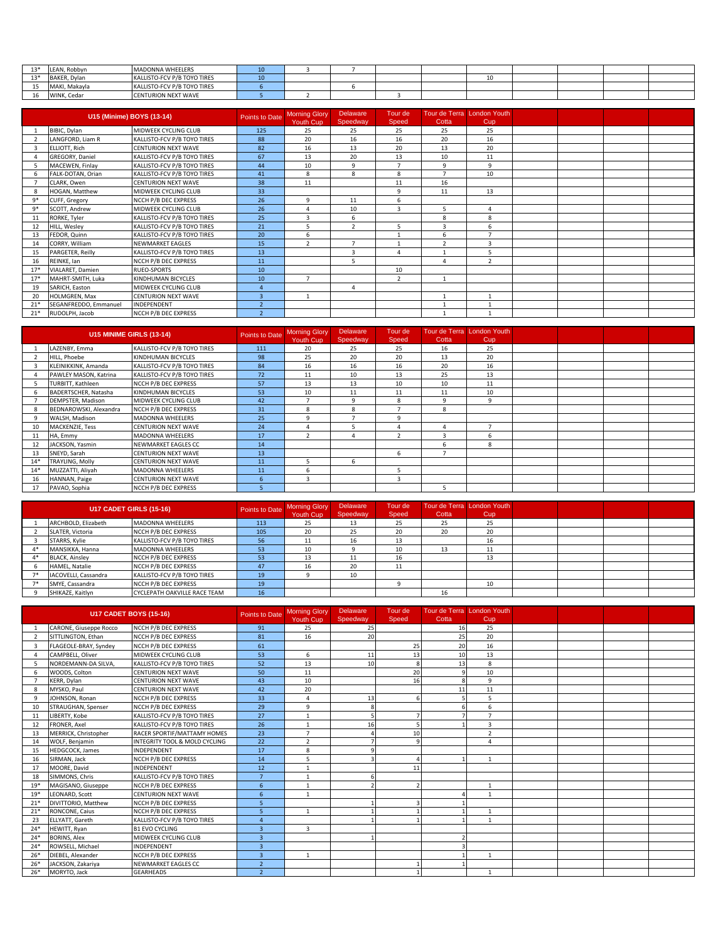| $12*$<br>سد        | LEAN, Robbyn  | MADONNA WHEELERS            | 40 <sup>7</sup> |  |  |  |  |  |
|--------------------|---------------|-----------------------------|-----------------|--|--|--|--|--|
| $12*$<br><b>LJ</b> | BAKER, Dylan  | KALLISTO-FCV P/B TOYO TIRES | 10              |  |  |  |  |  |
|                    | MAKI. Makavla | KALLISTO-FCV P/B TOYO TIRES |                 |  |  |  |  |  |
| 16                 | WINK, Cedar   | <b>CENTURION NEXT WAVE</b>  |                 |  |  |  |  |  |

|       | U15 (Minime) BOYS (13-14) |                             | Points to Date | <b>Morning Glory</b><br>Youth Cup | Delaware<br>Speedway     | Tour de<br>Speed | Cotta          | Tour de Terra London Youth<br>Cup |  |  |
|-------|---------------------------|-----------------------------|----------------|-----------------------------------|--------------------------|------------------|----------------|-----------------------------------|--|--|
|       | BIBIC, Dylan              | MIDWEEK CYCLING CLUB        | 125            | 25                                | 25                       | 25               | 25             | 25                                |  |  |
|       | LANGFORD, Liam R          | KALLISTO-FCV P/B TOYO TIRES | 88             | 20                                | 16                       | 16               | 20             | 16                                |  |  |
|       | ELLIOTT, Rich             | <b>CENTURION NEXT WAVE</b>  | 82             | 16                                | 13                       | 20               | 13             | 20                                |  |  |
|       | GREGORY, Daniel           | KALLISTO-FCV P/B TOYO TIRES | 67             | 13                                | 20                       | 13               | 10             | 11                                |  |  |
|       | MACEWEN, Finlay           | KALLISTO-FCV P/B TOYO TIRES | 44             | 10                                | 9                        | $\overline{ }$   | $\mathbf{Q}$   | 9                                 |  |  |
|       | FALK-DOTAN, Orian         | KALLISTO-FCV P/B TOYO TIRES | 41             | 8                                 | 8                        | 8                | $\overline{ }$ | 10                                |  |  |
|       | CLARK, Owen               | <b>CENTURION NEXT WAVE</b>  | 38             | 11                                |                          | 11               | 16             |                                   |  |  |
| 8     | HOGAN, Matthew            | MIDWEEK CYCLING CLUB        | 33             |                                   |                          | 9                | 11             | 13                                |  |  |
| $9*$  | CUFF, Gregory             | NCCH P/B DEC EXPRESS        | 26             | 9                                 | 11                       | 6                |                |                                   |  |  |
| g*    | SCOTT, Andrew             | MIDWEEK CYCLING CLUB        | 26             |                                   | 10                       | $\overline{3}$   | 5              | 4                                 |  |  |
|       | RORKE, Tyler              | KALLISTO-FCV P/B TOYO TIRES | 25             |                                   | 6                        |                  | 8              | 8                                 |  |  |
| 12    | HILL, Wesley              | KALLISTO-FCV P/B TOYO TIRES | 21             |                                   | $\overline{\phantom{a}}$ | 5                | 3              | 6                                 |  |  |
| 13    | FEDOR, Quinn              | KALLISTO-FCV P/B TOYO TIRES | 20             | 6                                 |                          |                  | 6              | ,                                 |  |  |
| 14    | CORRY, William            | NEWMARKET EAGLES            | 15             | $\mathcal{L}$                     | $\overline{ }$           |                  | $\overline{ }$ | $\overline{3}$                    |  |  |
| 15    | PARGETER, Reilly          | KALLISTO-FCV P/B TOYO TIRES | 13             |                                   | $\overline{3}$           |                  |                | 5                                 |  |  |
| 16    | REINKE, Ian               | NCCH P/B DEC EXPRESS        | 11             |                                   |                          |                  |                | $\overline{2}$                    |  |  |
| $17*$ | VIALARET, Damien          | RUEO-SPORTS                 | 10             |                                   |                          | 10               |                |                                   |  |  |
| $17*$ | MAHRT-SMITH, Luka         | KINDHUMAN BICYCLES          | 10             | ÷,                                |                          | $\overline{2}$   |                |                                   |  |  |
| 19    | SARICH, Easton            | MIDWEEK CYCLING CLUB        |                |                                   | $\overline{a}$           |                  |                |                                   |  |  |
| 20    | HOLMGREN, Max             | CENTURION NEXT WAVE         | $\overline{3}$ | -1                                |                          |                  |                |                                   |  |  |
| $21*$ | SEGANFREDDO, Emmanuel     | <b>INDEPENDENT</b>          | $\overline{z}$ |                                   |                          |                  |                |                                   |  |  |
| $21*$ | RUDOLPH, Jacob            | NCCH P/B DEC EXPRESS        |                |                                   |                          |                  |                |                                   |  |  |

|       |                        | <b>U15 MINIME GIRLS (13-14)</b> | <b>Points to Date</b> | <b>Morning Glory</b><br>Youth Cup | <b>Delaware</b><br>Speedway | Tour de<br>Speed | Cotta | Tour de Terra London Youth<br>Cup |  |  |
|-------|------------------------|---------------------------------|-----------------------|-----------------------------------|-----------------------------|------------------|-------|-----------------------------------|--|--|
|       | LAZENBY, Emma          | KALLISTO-FCV P/B TOYO TIRES     | 111                   | 20                                | 25                          | 25               | 16    | 25                                |  |  |
|       | HILL, Phoebe           | KINDHUMAN BICYCLES              | 98                    | 25                                | 20                          | 20               | 13    | 20                                |  |  |
|       | KLEINIKKINK, Amanda    | KALLISTO-FCV P/B TOYO TIRES     | 84                    | 16                                | 16                          | 16               | 20    | 16                                |  |  |
|       | PAWLEY MASON, Katrina  | KALLISTO-FCV P/B TOYO TIRES     | 72                    | 11                                | 10                          | 13               | 25    | 13                                |  |  |
|       | TURBITT, Kathleen      | NCCH P/B DEC EXPRESS            | 57                    | 13                                | 13                          | 10               | 10    | 11                                |  |  |
|       | BADERTSCHER, Natasha   | KINDHUMAN BICYCLES              | 53                    | 10                                | 11                          | 11               | 11    | 10                                |  |  |
|       | DEMPSTER, Madison      | MIDWEEK CYCLING CLUB            | 42                    |                                   | a                           | 8                | 9     | 9                                 |  |  |
|       | BEDNAROWSKI, Alexandra | NCCH P/B DEC EXPRESS            | 31                    | R                                 | 8                           |                  | 8     |                                   |  |  |
|       | WALSH, Madison         | <b>MADONNA WHEELERS</b>         | 25                    |                                   |                             | q                |       |                                   |  |  |
| 10    | MACKENZIE, Tess        | CENTURION NEXT WAVE             | 24                    |                                   |                             |                  |       |                                   |  |  |
|       | HA, Emmy               | MADONNA WHEELERS                | 17                    |                                   |                             |                  |       | 6                                 |  |  |
| 12    | JACKSON, Yasmin        | NEWMARKET EAGLES CC             | 14                    |                                   |                             |                  |       | 8                                 |  |  |
| 13    | SNEYD, Sarah           | <b>CENTURION NEXT WAVE</b>      | 13                    |                                   |                             | 6                |       |                                   |  |  |
| $14*$ | TRAYLING, Molly        | CENTURION NEXT WAVE             | 11                    |                                   |                             |                  |       |                                   |  |  |
| $14*$ | MUZZATTI, Aliyah       | <b>MADONNA WHEELERS</b>         | 11                    |                                   |                             |                  |       |                                   |  |  |
| 16    | HANNAN, Paige          | CENTURION NEXT WAVE             | $\mathbf{b}$          |                                   |                             |                  |       |                                   |  |  |
|       | PAVAO, Sophia          | NCCH P/B DEC EXPRESS            |                       |                                   |                             |                  |       |                                   |  |  |

| <b>U17 CADET GIRLS (15-16)</b> |                              | Points to Date | <b>Morning Glory</b><br>Youth Cup | Delaware<br>Speedway | Tour de<br>Speed | Cotta | Tour de Terra London Youth<br>Cup |  |  |
|--------------------------------|------------------------------|----------------|-----------------------------------|----------------------|------------------|-------|-----------------------------------|--|--|
| ARCHBOLD, Elizabeth            | MADONNA WHEELERS             | 113            | 25                                | 13                   | 25               | 25    | 25                                |  |  |
| SLATER, Victoria               | NCCH P/B DEC EXPRESS         | 105            | 20                                | 25                   | 20               | 20    | 20                                |  |  |
| STARRS, Kylie                  | KALLISTO-FCV P/B TOYO TIRES  | 56             |                                   | 16                   | 13               |       | 16                                |  |  |
| MANSIKKA, Hanna                | MADONNA WHEELERS             | 53             | 10                                |                      | 10               |       | 11<br>ᅭ                           |  |  |
| <b>BLACK, Ainsley</b>          | NCCH P/B DEC EXPRESS         | 53             | 13                                |                      | 16               |       | 13                                |  |  |
| <b>HAMEL, Natalie</b>          | NCCH P/B DEC EXPRESS         | 47             | 16                                | 20                   | 11               |       |                                   |  |  |
| IACOVELLI, Cassandra           | KALLISTO-FCV P/B TOYO TIRES  | 19             |                                   | 10                   |                  |       |                                   |  |  |
| SMYE, Cassandra                | NCCH P/B DEC EXPRESS         | 19             |                                   |                      |                  |       | 10                                |  |  |
| SHIKAZE, Kaitlyn               | CYCLEPATH OAKVILLE RACE TEAM | 16             |                                   |                      |                  |       |                                   |  |  |

|                          |                        | <b>U17 CADET BOYS (15-16)</b> | <b>Points to Date</b>   | <b>Morning Glory</b><br>Youth Cup | <b>Delaware</b><br>Speedway | Tour de<br>Speed | Cotta    | Tour de Terra London Youth<br>Cup |  |  |
|--------------------------|------------------------|-------------------------------|-------------------------|-----------------------------------|-----------------------------|------------------|----------|-----------------------------------|--|--|
|                          | CARONE, Giuseppe Rocco | NCCH P/B DEC EXPRESS          | 91                      | 25                                | 25                          |                  | 16       | 25                                |  |  |
| $\overline{\phantom{a}}$ | SITTLINGTON, Ethan     | NCCH P/B DEC EXPRESS          | 81                      | 16                                | 20                          |                  | 25       | 20                                |  |  |
| 3                        | FLAGEOLE-BRAY, Syndey  | NCCH P/B DEC EXPRESS          | 61                      |                                   |                             | 25               | 20       | 16                                |  |  |
|                          | CAMPBELL, Oliver       | MIDWEEK CYCLING CLUB          | 53                      | 6                                 | 11                          | 13               | 10       | 13                                |  |  |
|                          | NORDEMANN-DA SILVA.    | KALLISTO-FCV P/B TOYO TIRES   | 52                      | 13                                | 10                          |                  | 13       | 8                                 |  |  |
| 6                        | WOODS, Colton          | <b>CENTURION NEXT WAVE</b>    | 50                      | 11                                |                             | 20               | $\Omega$ | 10                                |  |  |
|                          | KERR, Dylan            | <b>CENTURION NEXT WAVE</b>    | 43                      | 10                                |                             | 16               |          | 9                                 |  |  |
| 8                        | MYSKO, Paul            | <b>CENTURION NEXT WAVE</b>    | 42                      | 20                                |                             |                  | 11       | 11                                |  |  |
| q                        | JOHNSON, Ronan         | NCCH P/B DEC EXPRESS          | 33                      | Δ                                 | 13                          |                  |          | 5                                 |  |  |
| 10                       | STRAUGHAN, Spenser     | NCCH P/B DEC EXPRESS          | 29                      | $\mathbf{q}$                      |                             |                  |          | 6                                 |  |  |
| -11                      | LIBERTY, Kobe          | KALLISTO-FCV P/B TOYO TIRES   | 27                      | $\mathbf{1}$                      |                             |                  |          | $\overline{7}$                    |  |  |
| 12                       | <b>FRONER, Axel</b>    | KALLISTO-FCV P/B TOYO TIRES   | 26                      |                                   | 16                          |                  |          | 3                                 |  |  |
| 13                       | MERRICK, Christopher   | RACER SPORTIF/MATTAMY HOMES   | 23                      | $\overline{7}$                    |                             | 10               |          | $\overline{2}$                    |  |  |
| 14                       | WOLF, Benjamin         | INTEGRITY TOOL & MOLD CYCLING | 22                      | $\overline{2}$                    |                             |                  |          | 4                                 |  |  |
| 15                       | HEDGCOCK, James        | INDEPENDENT                   | 17                      | 8                                 |                             |                  |          |                                   |  |  |
| 16                       | SIRMAN, Jack           | NCCH P/B DEC EXPRESS          | 14                      | 5                                 |                             |                  |          | 1                                 |  |  |
| 17                       | MOORE, David           | INDEPENDENT                   | 12                      |                                   |                             | 11               |          |                                   |  |  |
| 18                       | SIMMONS, Chris         | KALLISTO-FCV P/B TOYO TIRES   | $\overline{7}$          | $\mathbf{1}$                      |                             |                  |          |                                   |  |  |
| $19*$                    | MAGISANO, Giuseppe     | NCCH P/B DEC EXPRESS          | 6                       | $\mathbf{1}$                      |                             |                  |          | $\mathbf{1}$                      |  |  |
| $19*$                    | LEONARD, Scott         | <b>CENTURION NEXT WAVE</b>    | 6                       | $\mathbf{1}$                      |                             |                  |          |                                   |  |  |
| $21*$                    | DIVITTORIO, Matthew    | NCCH P/B DEC EXPRESS          | 5                       |                                   |                             |                  |          |                                   |  |  |
| $21*$                    | RONCONE, Caius         | NCCH P/B DEC EXPRESS          | 5                       |                                   |                             |                  |          |                                   |  |  |
| 23                       | ELLYATT, Gareth        | KALLISTO-FCV P/B TOYO TIRES   | $\overline{4}$          |                                   |                             |                  |          |                                   |  |  |
| $24*$                    | HEWITT, Ryan           | <b>B1 EVO CYCLING</b>         | $\overline{3}$          | $\overline{3}$                    |                             |                  |          |                                   |  |  |
| $24*$                    | <b>BORINS, Alex</b>    | MIDWEEK CYCLING CLUB          | $\overline{\mathbf{3}}$ |                                   |                             |                  |          |                                   |  |  |
| $24*$                    | ROWSELL, Michael       | INDEPENDENT                   | $\overline{3}$          |                                   |                             |                  |          |                                   |  |  |
| $26*$                    | DIEBEL, Alexander      | NCCH P/B DEC EXPRESS          | $\overline{3}$          | $\mathbf{1}$                      |                             |                  |          | <sub>1</sub>                      |  |  |
| 26 <sup>8</sup>          | JACKSON, Zakariya      | NEWMARKET EAGLES CC           | $\overline{z}$          |                                   |                             |                  |          |                                   |  |  |
| $26*$                    | MORYTO, Jack           | <b>GEARHEADS</b>              | $\overline{2}$          |                                   |                             |                  |          | 1                                 |  |  |